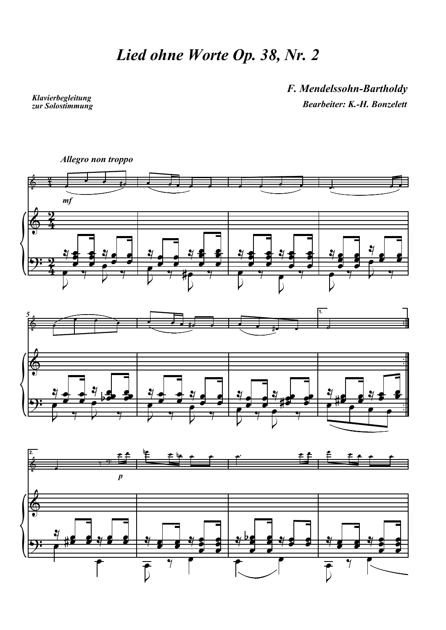## Lied ohne Worte Op. 38, Nr. 2

Klavierbegleitung zur Solostimmung F. Mendelssohn-Bartholdy Bearbeiter: K.-H. Bonzelett

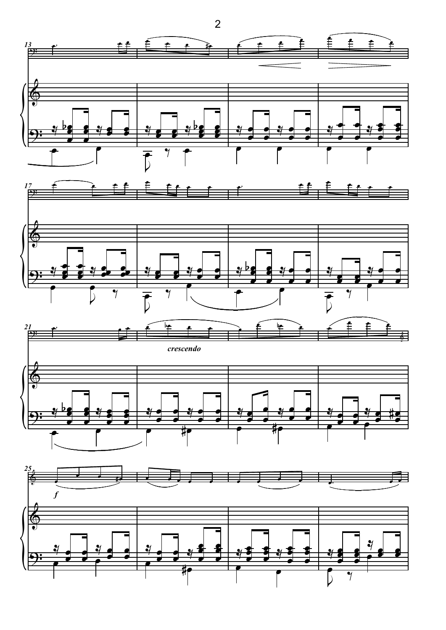

 $\overline{V}$ 

2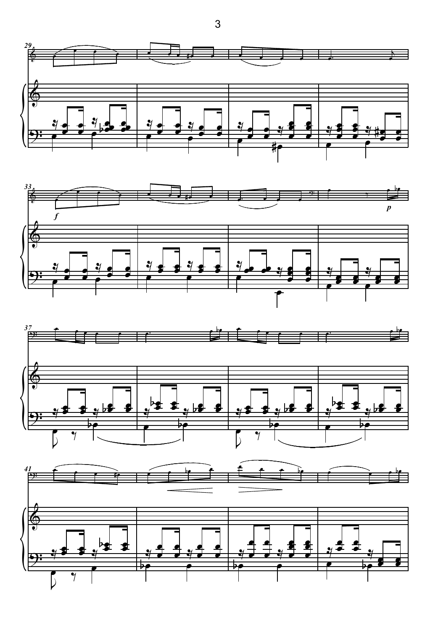







3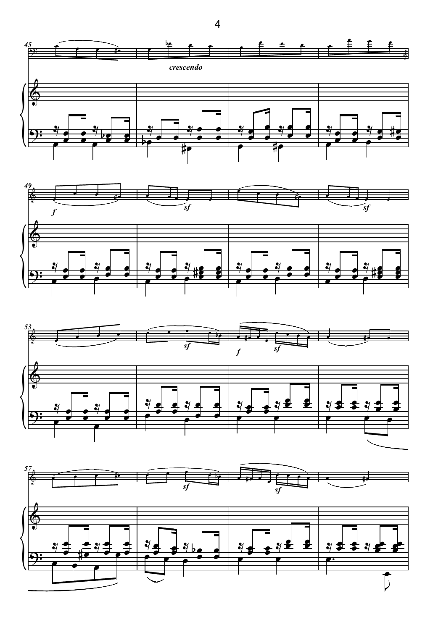







4